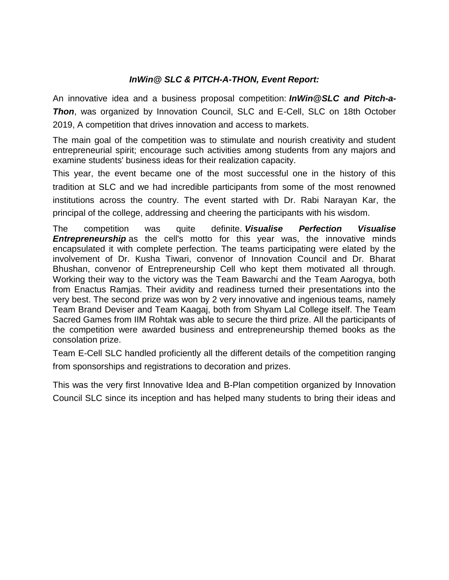## *InWin@ SLC & PITCH-A-THON, Event Report:*

An innovative idea and a business proposal competition: *InWin@SLC and Pitch-a-Thon*, was organized by Innovation Council, SLC and E-Cell, SLC on 18th October 2019, A competition that drives innovation and access to markets.

The main goal of the competition was to stimulate and nourish creativity and student entrepreneurial spirit; encourage such activities among students from any majors and examine students' business ideas for their realization capacity.

This year, the event became one of the most successful one in the history of this tradition at SLC and we had incredible participants from some of the most renowned institutions across the country. The event started with Dr. Rabi Narayan Kar, the principal of the college, addressing and cheering the participants with his wisdom.

The competition was quite definite. *Visualise Perfection Visualise*  **Entrepreneurship** as the cell's motto for this year was, the innovative minds encapsulated it with complete perfection. The teams participating were elated by the involvement of Dr. Kusha Tiwari, convenor of Innovation Council and Dr. Bharat Bhushan, convenor of Entrepreneurship Cell who kept them motivated all through. Working their way to the victory was the Team Bawarchi and the Team Aarogya, both from Enactus Ramjas. Their avidity and readiness turned their presentations into the very best. The second prize was won by 2 very innovative and ingenious teams, namely Team Brand Deviser and Team Kaagaj, both from Shyam Lal College itself. The Team Sacred Games from IIM Rohtak was able to secure the third prize. All the participants of the competition were awarded business and entrepreneurship themed books as the consolation prize.

Team E-Cell SLC handled proficiently all the different details of the competition ranging from sponsorships and registrations to decoration and prizes.

This was the very first Innovative Idea and B-Plan competition organized by Innovation Council SLC since its inception and has helped many students to bring their ideas and